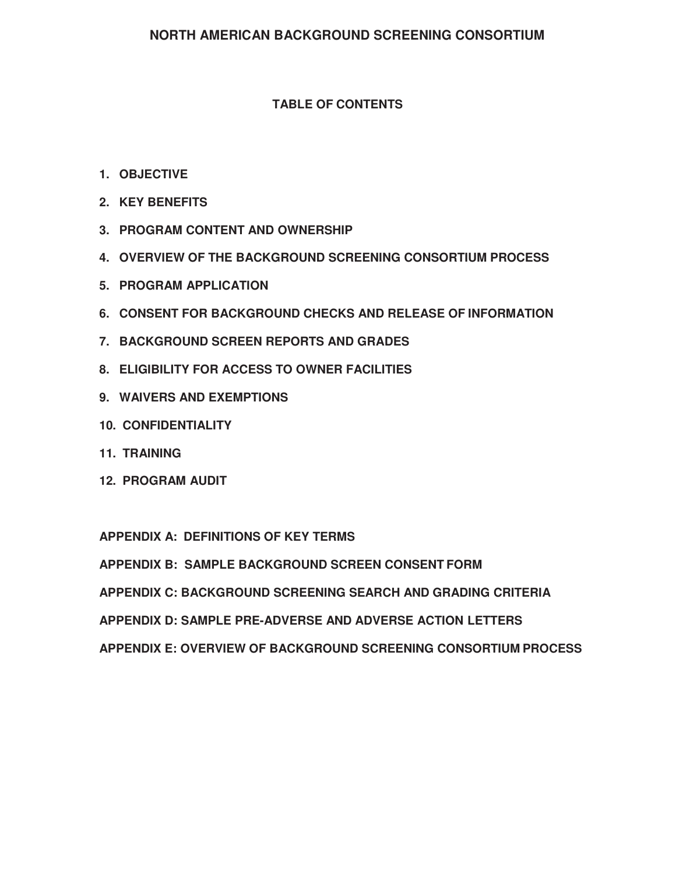## **TABLE OF CONTENTS**

- **1. OBJECTIVE**
- **2. KEY BENEFITS**
- **3. PROGRAM CONTENT AND OWNERSHIP**
- **4. OVERVIEW OF THE BACKGROUND SCREENING CONSORTIUM PROCESS**
- **5. PROGRAM APPLICATION**
- **6. CONSENT FOR BACKGROUND CHECKS AND RELEASE OF INFORMATION**
- **7. BACKGROUND SCREEN REPORTS AND GRADES**
- **8. ELIGIBILITY FOR ACCESS TO OWNER FACILITIES**
- **9. WAIVERS AND EXEMPTIONS**
- **10. CONFIDENTIALITY**
- **11. TRAINING**
- **12. PROGRAM AUDIT**

**APPENDIX A: DEFINITIONS OF KEY TERMS**

**APPENDIX B: SAMPLE BACKGROUND SCREEN CONSENT FORM**

**APPENDIX C: BACKGROUND SCREENING SEARCH AND GRADING CRITERIA** 

**APPENDIX D: SAMPLE PRE-ADVERSE AND ADVERSE ACTION LETTERS** 

**APPENDIX E: OVERVIEW OF BACKGROUND SCREENING CONSORTIUM PROCESS**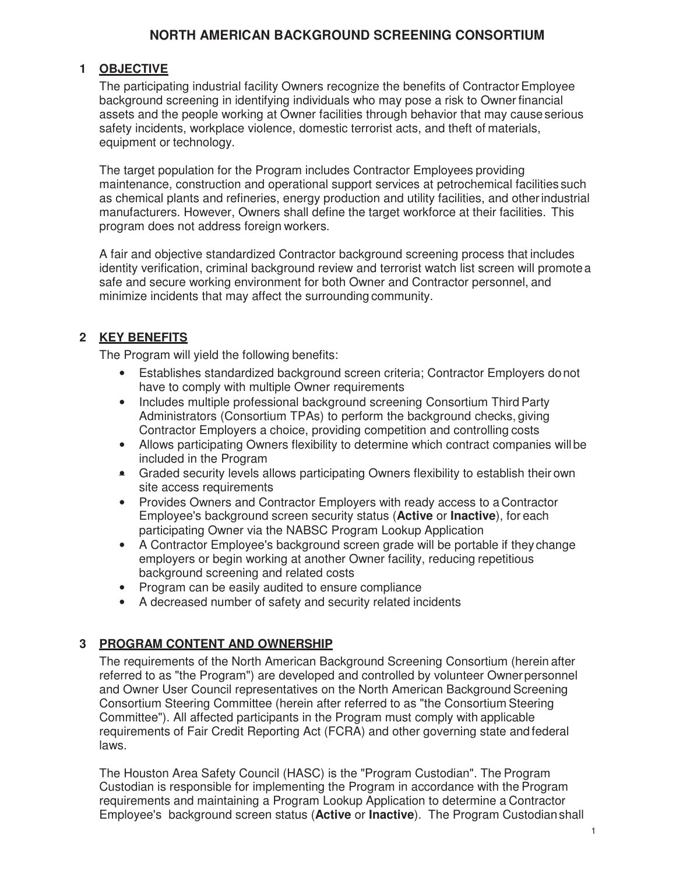### **1 OBJECTIVE**

The participating industrial facility Owners recognize the benefits of Contractor Employee background screening in identifying individuals who may pose a risk to Owner financial assets and the people working at Owner facilities through behavior that may cause serious safety incidents, workplace violence, domestic terrorist acts, and theft of materials, equipment or technology.

The target population for the Program includes Contractor Employees providing maintenance, construction and operational support services at petrochemical facilities such as chemical plants and refineries, energy production and utility facilities, and other industrial manufacturers. However, Owners shall define the target workforce at their facilities. This program does not address foreign workers.

A fair and objective standardized Contractor background screening process that includes identity verification, criminal background review and terrorist watch list screen will promote a safe and secure working environment for both Owner and Contractor personnel, and minimize incidents that may affect the surrounding community.

### **2 KEY BENEFITS**

The Program will yield the following benefits:

- Establishes standardized background screen criteria; Contractor Employers do not have to comply with multiple Owner requirements
- Includes multiple professional background screening Consortium Third Party Administrators (Consortium TPAs) to perform the background checks, giving Contractor Employers a choice, providing competition and controlling costs
- Allows participating Owners flexibility to determine which contract companies will be included in the Program
- Graded security levels allows participating Owners flexibility to establish their own site access requirements
- Provides Owners and Contractor Employers with ready access to a Contractor Employee's background screen security status (**Active** or **Inactive**), for each participating Owner via the NABSC Program Lookup Application
- A Contractor Employee's background screen grade will be portable if they change employers or begin working at another Owner facility, reducing repetitious background screening and related costs
- Program can be easily audited to ensure compliance
- A decreased number of safety and security related incidents

### **3 PROGRAM CONTENT AND OWNERSHIP**

The requirements of the North American Background Screening Consortium (herein after referred to as "the Program") are developed and controlled by volunteer Owner personnel and Owner User Council representatives on the North American Background Screening Consortium Steering Committee (herein after referred to as "the Consortium Steering Committee"). All affected participants in the Program must comply with applicable requirements of Fair Credit Reporting Act (FCRA) and other governing state and federal laws.

The Houston Area Safety Council (HASC) is the "Program Custodian". The Program Custodian is responsible for implementing the Program in accordance with the Program requirements and maintaining a Program Lookup Application to determine a Contractor Employee's background screen status (**Active** or **Inactive**). The Program Custodian shall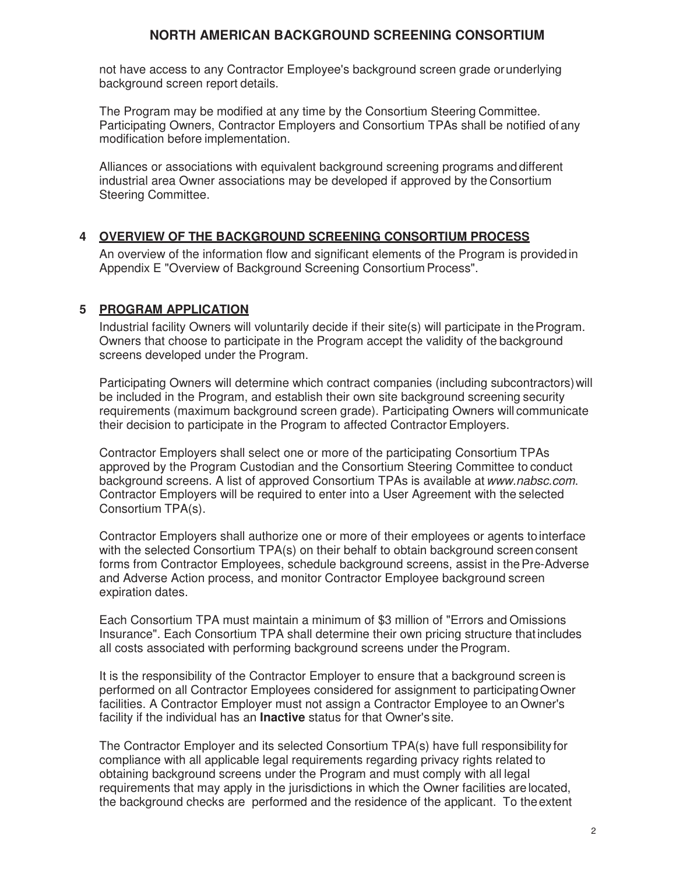not have access to any Contractor Employee's background screen grade or underlying background screen report details.

The Program may be modified at any time by the Consortium Steering Committee. Participating Owners, Contractor Employers and Consortium TPAs shall be notified of any modification before implementation.

Alliances or associations with equivalent background screening programs and different industrial area Owner associations may be developed if approved by the Consortium Steering Committee.

## **4 OVERVIEW OF THE BACKGROUND SCREENING CONSORTIUM PROCESS**

An overview of the information flow and significant elements of the Program is provided in Appendix E "Overview of Background Screening Consortium Process".

## **5 PROGRAM APPLICATION**

Industrial facility Owners will voluntarily decide if their site(s) will participate in the Program. Owners that choose to participate in the Program accept the validity of the background screens developed under the Program.

Participating Owners will determine which contract companies (including subcontractors) will be included in the Program, and establish their own site background screening security requirements (maximum background screen grade). Participating Owners will communicate their decision to participate in the Program to affected Contractor Employers.

Contractor Employers shall select one or more of the participating Consortium TPAs approved by the Program Custodian and the Consortium Steering Committee to conduct background screens. A list of approved Consortium TPAs is available at www.nabsc.com. Contractor Employers will be required to enter into a User Agreement with the selected Consortium TPA(s).

Contractor Employers shall authorize one or more of their employees or agents to interface with the selected Consortium TPA(s) on their behalf to obtain background screen consent forms from Contractor Employees, schedule background screens, assist in the Pre-Adverse and Adverse Action process, and monitor Contractor Employee background screen expiration dates.

Each Consortium TPA must maintain a minimum of \$3 million of "Errors and Omissions Insurance". Each Consortium TPA shall determine their own pricing structure that includes all costs associated with performing background screens under the Program.

It is the responsibility of the Contractor Employer to ensure that a background screen is performed on all Contractor Employees considered for assignment to participating Owner facilities. A Contractor Employer must not assign a Contractor Employee to an Owner's facility if the individual has an **Inactive** status for that Owner's site.

The Contractor Employer and its selected Consortium TPA(s) have full responsibility for compliance with all applicable legal requirements regarding privacy rights related to obtaining background screens under the Program and must comply with all legal requirements that may apply in the jurisdictions in which the Owner facilities are located, the background checks are performed and the residence of the applicant. To the extent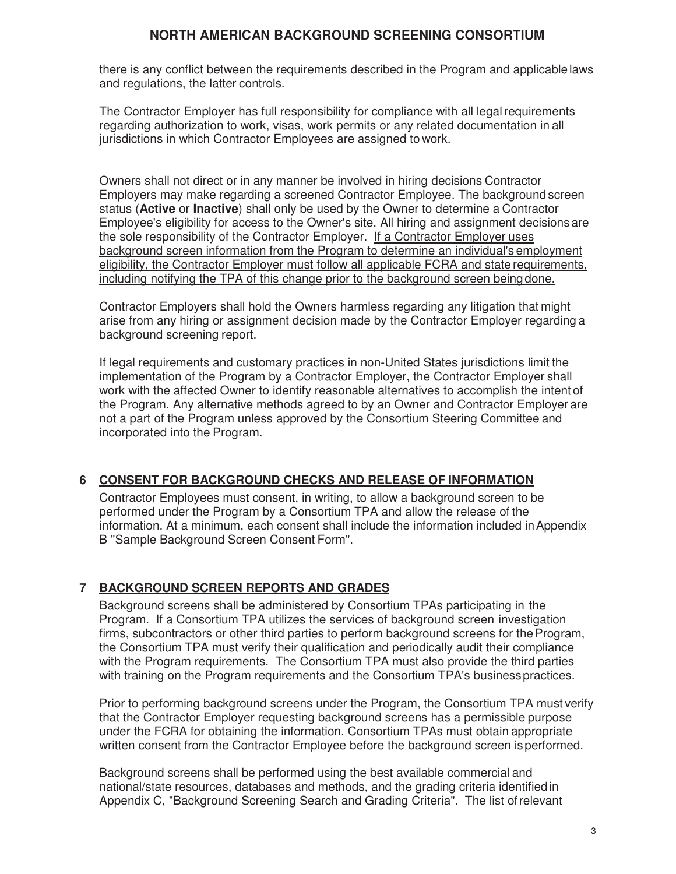there is any conflict between the requirements described in the Program and applicable laws and regulations, the latter controls.

The Contractor Employer has full responsibility for compliance with all legal requirements regarding authorization to work, visas, work permits or any related documentation in all jurisdictions in which Contractor Employees are assigned to work.

Owners shall not direct or in any manner be involved in hiring decisions Contractor Employers may make regarding a screened Contractor Employee. The background screen status (**Active** or **Inactive**) shall only be used by the Owner to determine a Contractor Employee's eligibility for access to the Owner's site. All hiring and assignment decisions are the sole responsibility of the Contractor Employer. If a Contractor Employer uses background screen information from the Program to determine an individual's employment eligibility, the Contractor Employer must follow all applicable FCRA and state requirements, including notifying the TPA of this change prior to the background screen being done.

Contractor Employers shall hold the Owners harmless regarding any litigation that might arise from any hiring or assignment decision made by the Contractor Employer regarding a background screening report.

If legal requirements and customary practices in non-United States jurisdictions limit the implementation of the Program by a Contractor Employer, the Contractor Employer shall work with the affected Owner to identify reasonable alternatives to accomplish the intent of the Program. Any alternative methods agreed to by an Owner and Contractor Employer are not a part of the Program unless approved by the Consortium Steering Committee and incorporated into the Program.

### **6 CONSENT FOR BACKGROUND CHECKS AND RELEASE OF INFORMATION**

Contractor Employees must consent, in writing, to allow a background screen to be performed under the Program by a Consortium TPA and allow the release of the information. At a minimum, each consent shall include the information included in Appendix B "Sample Background Screen Consent Form".

## **7 BACKGROUND SCREEN REPORTS AND GRADES**

Background screens shall be administered by Consortium TPAs participating in the Program. If a Consortium TPA utilizes the services of background screen investigation firms, subcontractors or other third parties to perform background screens for the Program, the Consortium TPA must verify their qualification and periodically audit their compliance with the Program requirements. The Consortium TPA must also provide the third parties with training on the Program requirements and the Consortium TPA's business practices.

Prior to performing background screens under the Program, the Consortium TPA must verify that the Contractor Employer requesting background screens has a permissible purpose under the FCRA for obtaining the information. Consortium TPAs must obtain appropriate written consent from the Contractor Employee before the background screen is performed.

Background screens shall be performed using the best available commercial and national/state resources, databases and methods, and the grading criteria identified in Appendix C, "Background Screening Search and Grading Criteria". The list of relevant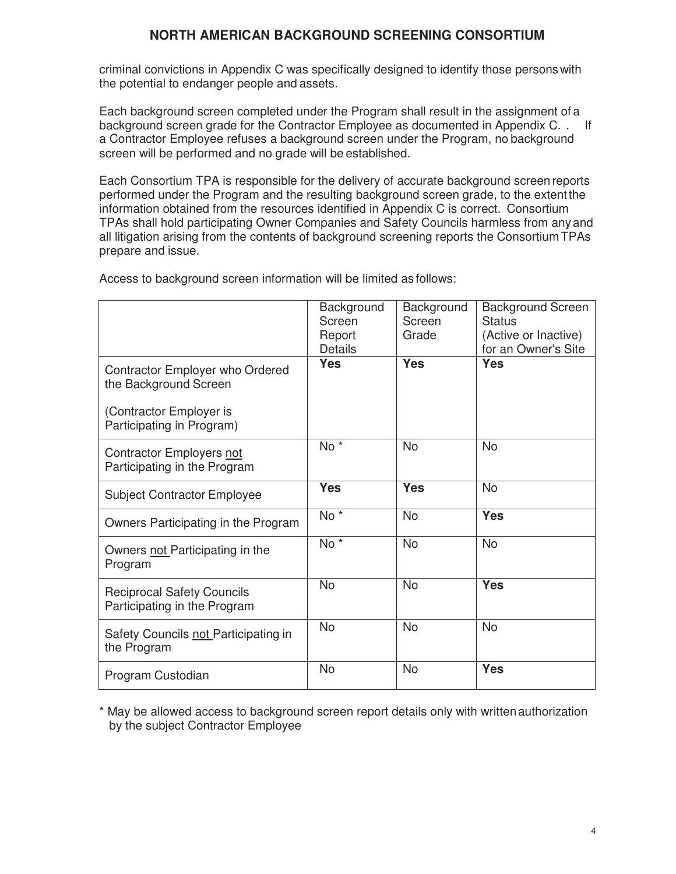criminal convictions in Appendix C was specifically designed to identify those persons with the potential to endanger people and assets.

Each background screen completed under the Program shall result in the assignment of a background screen grade for the Contractor Employee as documented in Appendix C. . If a Contractor Employee refuses a background screen under the Program, no background screen will be performed and no grade will be established.

Each Consortium TPA is responsible for the delivery of accurate background screen reports performed under the Program and the resulting background screen grade, to the extent the information obtained from the resources identified in Appendix C is correct. Consortium TPAs shall hold participating Owner Companies and Safety Councils harmless from any and all litigation arising from the contents of background screening reports the Consortium TPAs prepare and issue.

|                                                                   | Background<br>Screen<br>Report<br><b>Details</b> | Background<br>Screen<br>Grade | <b>Background Screen</b><br><b>Status</b><br>(Active or Inactive)<br>for an Owner's Site |
|-------------------------------------------------------------------|--------------------------------------------------|-------------------------------|------------------------------------------------------------------------------------------|
| Contractor Employer who Ordered<br>the Background Screen          | <b>Yes</b>                                       | <b>Yes</b>                    | <b>Yes</b>                                                                               |
| (Contractor Employer is<br>Participating in Program)              |                                                  |                               |                                                                                          |
| Contractor Employers not<br>Participating in the Program          | $No *$                                           | <b>No</b>                     | <b>No</b>                                                                                |
| <b>Subject Contractor Employee</b>                                | <b>Yes</b>                                       | <b>Yes</b>                    | <b>No</b>                                                                                |
| Owners Participating in the Program                               | No <sup>*</sup>                                  | <b>No</b>                     | <b>Yes</b>                                                                               |
| Owners not Participating in the<br>Program                        | No <sup>*</sup>                                  | <b>No</b>                     | <b>No</b>                                                                                |
| <b>Reciprocal Safety Councils</b><br>Participating in the Program | <b>No</b>                                        | <b>No</b>                     | <b>Yes</b>                                                                               |
| Safety Councils not Participating in<br>the Program               | <b>No</b>                                        | <b>No</b>                     | <b>No</b>                                                                                |
| Program Custodian                                                 | <b>No</b>                                        | <b>No</b>                     | <b>Yes</b>                                                                               |

Access to background screen information will be limited as follows:

\* May be allowed access to background screen report details only with written authorization by the subject Contractor Employee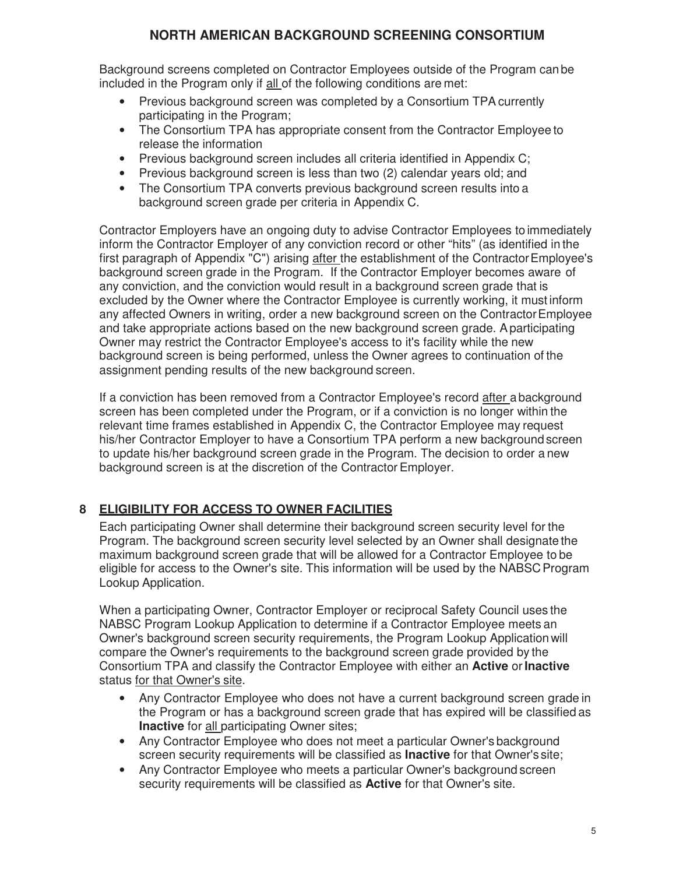Background screens completed on Contractor Employees outside of the Program can be included in the Program only if all of the following conditions are met:

- Previous background screen was completed by a Consortium TPA currently participating in the Program;
- The Consortium TPA has appropriate consent from the Contractor Employee to release the information
- Previous background screen includes all criteria identified in Appendix C;
- Previous background screen is less than two (2) calendar years old; and
- The Consortium TPA converts previous background screen results into a background screen grade per criteria in Appendix C.

Contractor Employers have an ongoing duty to advise Contractor Employees to immediately inform the Contractor Employer of any conviction record or other "hits" (as identified in the first paragraph of Appendix "C") arising after the establishment of the Contractor Employee's background screen grade in the Program. If the Contractor Employer becomes aware of any conviction, and the conviction would result in a background screen grade that is excluded by the Owner where the Contractor Employee is currently working, it must inform any affected Owners in writing, order a new background screen on the Contractor Employee and take appropriate actions based on the new background screen grade. A participating Owner may restrict the Contractor Employee's access to it's facility while the new background screen is being performed, unless the Owner agrees to continuation of the assignment pending results of the new background screen.

If a conviction has been removed from a Contractor Employee's record after a background screen has been completed under the Program, or if a conviction is no longer within the relevant time frames established in Appendix C, the Contractor Employee may request his/her Contractor Employer to have a Consortium TPA perform a new background screen to update his/her background screen grade in the Program. The decision to order a new background screen is at the discretion of the Contractor Employer.

## **8 ELIGIBILITY FOR ACCESS TO OWNER FACILITIES**

Each participating Owner shall determine their background screen security level for the Program. The background screen security level selected by an Owner shall designate the maximum background screen grade that will be allowed for a Contractor Employee to be eligible for access to the Owner's site. This information will be used by the NABSC Program Lookup Application.

When a participating Owner, Contractor Employer or reciprocal Safety Council uses the NABSC Program Lookup Application to determine if a Contractor Employee meets an Owner's background screen security requirements, the Program Lookup Application will compare the Owner's requirements to the background screen grade provided by the Consortium TPA and classify the Contractor Employee with either an **Active** or **Inactive**  status for that Owner's site.

- Any Contractor Employee who does not have a current background screen grade in the Program or has a background screen grade that has expired will be classified as **Inactive** for all participating Owner sites;
- Any Contractor Employee who does not meet a particular Owner's background screen security requirements will be classified as **Inactive** for that Owner's site;
- Any Contractor Employee who meets a particular Owner's background screen security requirements will be classified as **Active** for that Owner's site.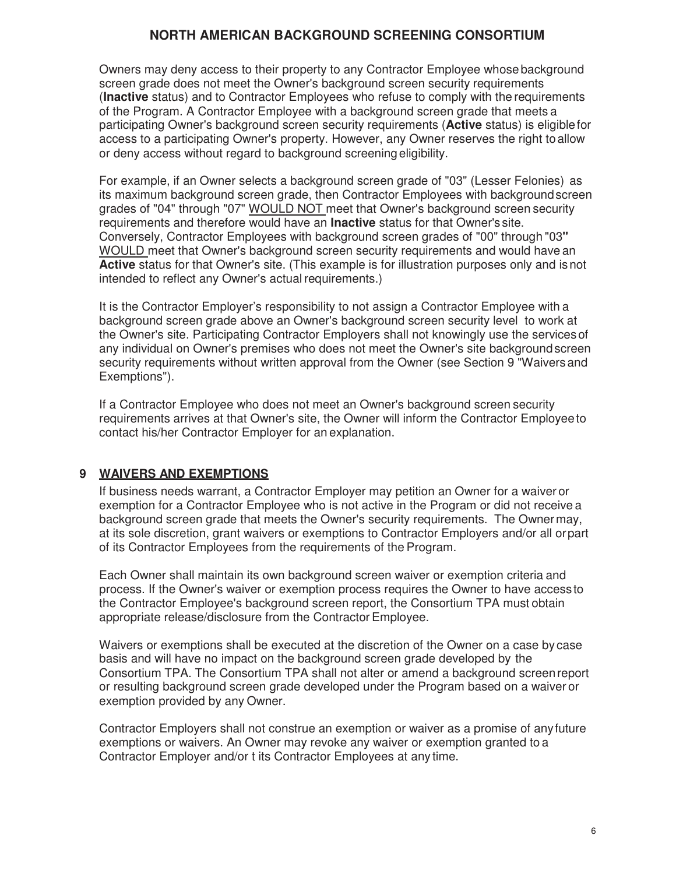Owners may deny access to their property to any Contractor Employee whose background screen grade does not meet the Owner's background screen security requirements (**Inactive** status) and to Contractor Employees who refuse to comply with the requirements of the Program. A Contractor Employee with a background screen grade that meets a participating Owner's background screen security requirements (**Active** status) is eligible for access to a participating Owner's property. However, any Owner reserves the right to allow or deny access without regard to background screening eligibility.

For example, if an Owner selects a background screen grade of "03" (Lesser Felonies) as its maximum background screen grade, then Contractor Employees with background screen grades of "04" through "07" WOULD NOT meet that Owner's background screen security requirements and therefore would have an **Inactive** status for that Owner's site. Conversely, Contractor Employees with background screen grades of "00" through "03**"**  WOULD meet that Owner's background screen security requirements and would have an **Active** status for that Owner's site. (This example is for illustration purposes only and is not intended to reflect any Owner's actual requirements.)

It is the Contractor Employer's responsibility to not assign a Contractor Employee with a background screen grade above an Owner's background screen security level to work at the Owner's site. Participating Contractor Employers shall not knowingly use the services of any individual on Owner's premises who does not meet the Owner's site background screen security requirements without written approval from the Owner (see Section 9 "Waivers and Exemptions").

If a Contractor Employee who does not meet an Owner's background screen security requirements arrives at that Owner's site, the Owner will inform the Contractor Employee to contact his/her Contractor Employer for an explanation.

## **9 WAIVERS AND EXEMPTIONS**

If business needs warrant, a Contractor Employer may petition an Owner for a waiver or exemption for a Contractor Employee who is not active in the Program or did not receive a background screen grade that meets the Owner's security requirements. The Owner may, at its sole discretion, grant waivers or exemptions to Contractor Employers and/or all or part of its Contractor Employees from the requirements of the Program.

Each Owner shall maintain its own background screen waiver or exemption criteria and process. If the Owner's waiver or exemption process requires the Owner to have access to the Contractor Employee's background screen report, the Consortium TPA must obtain appropriate release/disclosure from the Contractor Employee.

Waivers or exemptions shall be executed at the discretion of the Owner on a case by case basis and will have no impact on the background screen grade developed by the Consortium TPA. The Consortium TPA shall not alter or amend a background screen report or resulting background screen grade developed under the Program based on a waiver or exemption provided by any Owner.

Contractor Employers shall not construe an exemption or waiver as a promise of any future exemptions or waivers. An Owner may revoke any waiver or exemption granted to a Contractor Employer and/or t its Contractor Employees at any time.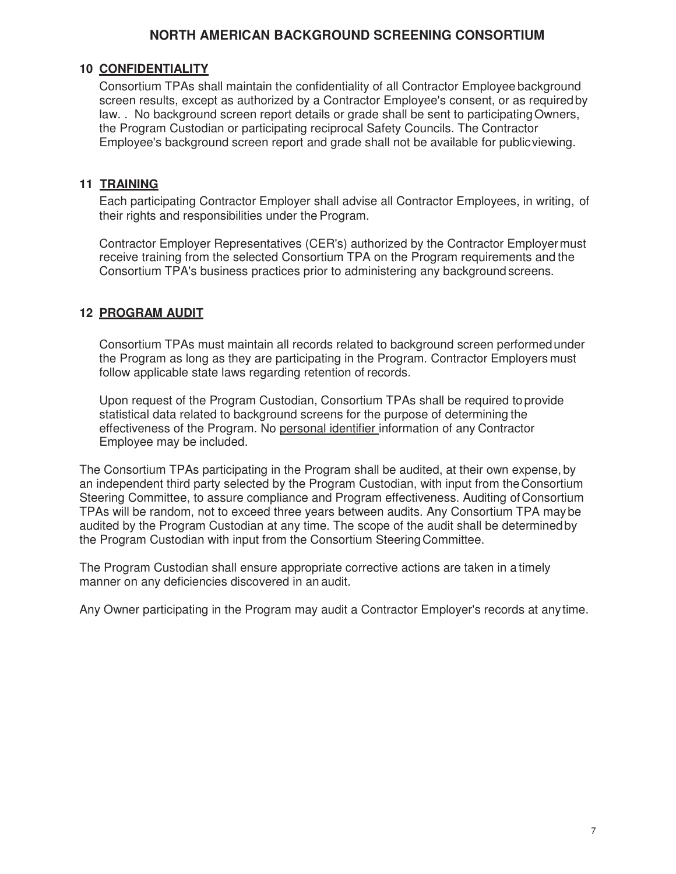### **10 CONFIDENTIALITY**

Consortium TPAs shall maintain the confidentiality of all Contractor Employee background screen results, except as authorized by a Contractor Employee's consent, or as required by law. . No background screen report details or grade shall be sent to participating Owners, the Program Custodian or participating reciprocal Safety Councils. The Contractor Employee's background screen report and grade shall not be available for public viewing.

### **11 TRAINING**

Each participating Contractor Employer shall advise all Contractor Employees, in writing, of their rights and responsibilities under the Program.

Contractor Employer Representatives (CER's) authorized by the Contractor Employer must receive training from the selected Consortium TPA on the Program requirements and the Consortium TPA's business practices prior to administering any background screens.

## **12 PROGRAM AUDIT**

Consortium TPAs must maintain all records related to background screen performed under the Program as long as they are participating in the Program. Contractor Employers must follow applicable state laws regarding retention of records.

Upon request of the Program Custodian, Consortium TPAs shall be required to provide statistical data related to background screens for the purpose of determining the effectiveness of the Program. No personal identifier information of any Contractor Employee may be included.

The Consortium TPAs participating in the Program shall be audited, at their own expense, by an independent third party selected by the Program Custodian, with input from the Consortium Steering Committee, to assure compliance and Program effectiveness. Auditing of Consortium TPAs will be random, not to exceed three years between audits. Any Consortium TPA may be audited by the Program Custodian at any time. The scope of the audit shall be determined by the Program Custodian with input from the Consortium Steering Committee.

The Program Custodian shall ensure appropriate corrective actions are taken in a timely manner on any deficiencies discovered in an audit.

Any Owner participating in the Program may audit a Contractor Employer's records at any time.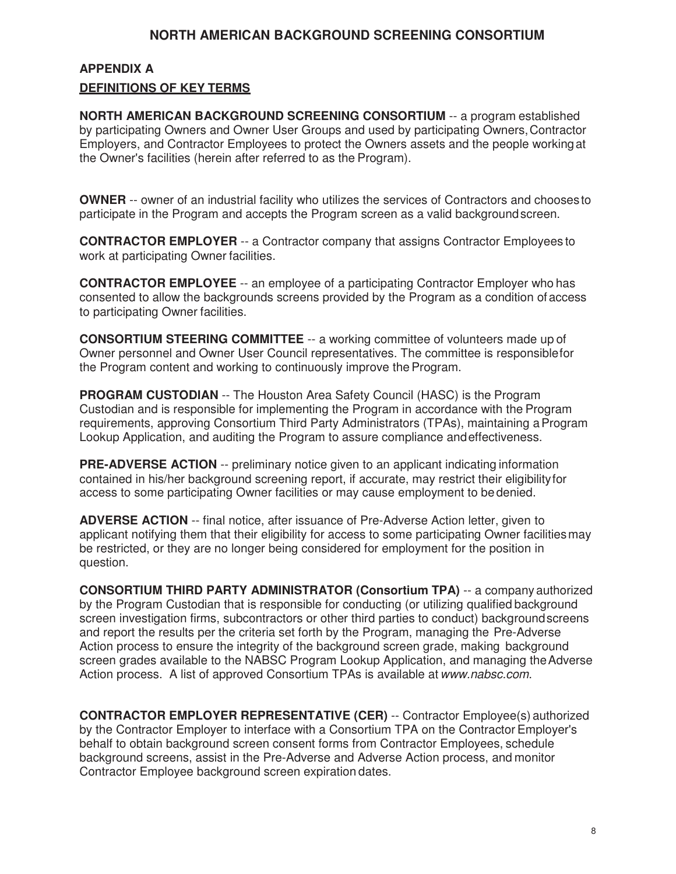## **APPENDIX A DEFINITIONS OF KEY TERMS**

**NORTH AMERICAN BACKGROUND SCREENING CONSORTIUM** -- a program established by participating Owners and Owner User Groups and used by participating Owners, Contractor Employers, and Contractor Employees to protect the Owners assets and the people working at the Owner's facilities (herein after referred to as the Program).

**OWNER** -- owner of an industrial facility who utilizes the services of Contractors and chooses to participate in the Program and accepts the Program screen as a valid background screen.

**CONTRACTOR EMPLOYER** -- a Contractor company that assigns Contractor Employees to work at participating Owner facilities.

**CONTRACTOR EMPLOYEE** -- an employee of a participating Contractor Employer who has consented to allow the backgrounds screens provided by the Program as a condition of access to participating Owner facilities.

**CONSORTIUM STEERING COMMITTEE** -- a working committee of volunteers made up of Owner personnel and Owner User Council representatives. The committee is responsible for the Program content and working to continuously improve the Program.

**PROGRAM CUSTODIAN** -- The Houston Area Safety Council (HASC) is the Program Custodian and is responsible for implementing the Program in accordance with the Program requirements, approving Consortium Third Party Administrators (TPAs), maintaining a Program Lookup Application, and auditing the Program to assure compliance and effectiveness.

**PRE-ADVERSE ACTION** -- preliminary notice given to an applicant indicating information contained in his/her background screening report, if accurate, may restrict their eligibility for access to some participating Owner facilities or may cause employment to be denied.

**ADVERSE ACTION** -- final notice, after issuance of Pre-Adverse Action letter, given to applicant notifying them that their eligibility for access to some participating Owner facilities may be restricted, or they are no longer being considered for employment for the position in question.

**CONSORTIUM THIRD PARTY ADMINISTRATOR (Consortium TPA)** -- a company authorized by the Program Custodian that is responsible for conducting (or utilizing qualified background screen investigation firms, subcontractors or other third parties to conduct) background screens and report the results per the criteria set forth by the Program, managing the Pre-Adverse Action process to ensure the integrity of the background screen grade, making background screen grades available to the NABSC Program Lookup Application, and managing the Adverse Action process. A list of approved Consortium TPAs is available at www.nabsc.com.

**CONTRACTOR EMPLOYER REPRESENTATIVE (CER)** -- Contractor Employee(s) authorized by the Contractor Employer to interface with a Consortium TPA on the Contractor Employer's behalf to obtain background screen consent forms from Contractor Employees, schedule background screens, assist in the Pre-Adverse and Adverse Action process, and monitor Contractor Employee background screen expiration dates.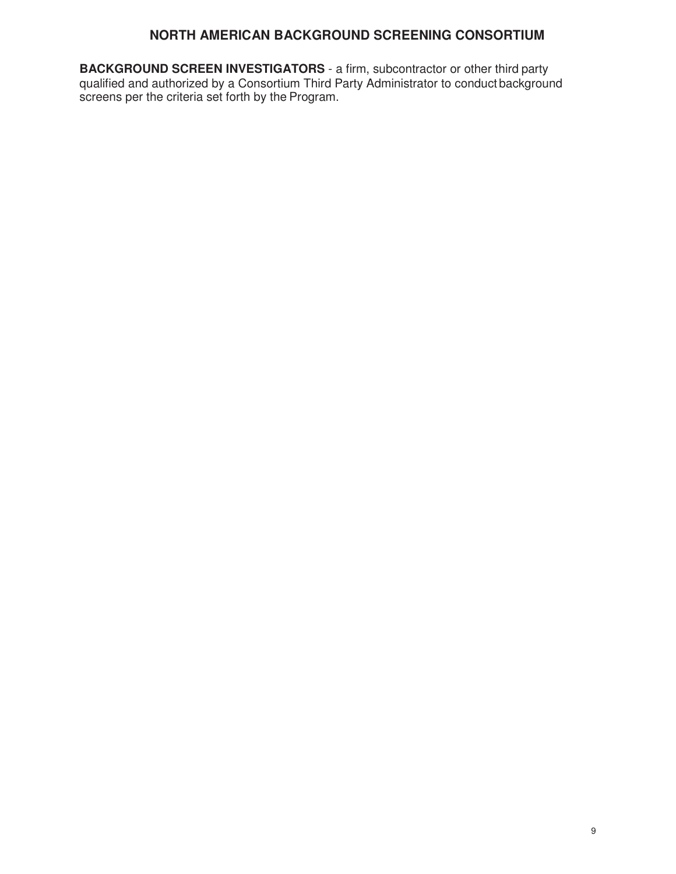**BACKGROUND SCREEN INVESTIGATORS** - a firm, subcontractor or other third party qualified and authorized by a Consortium Third Party Administrator to conduct background screens per the criteria set forth by the Program.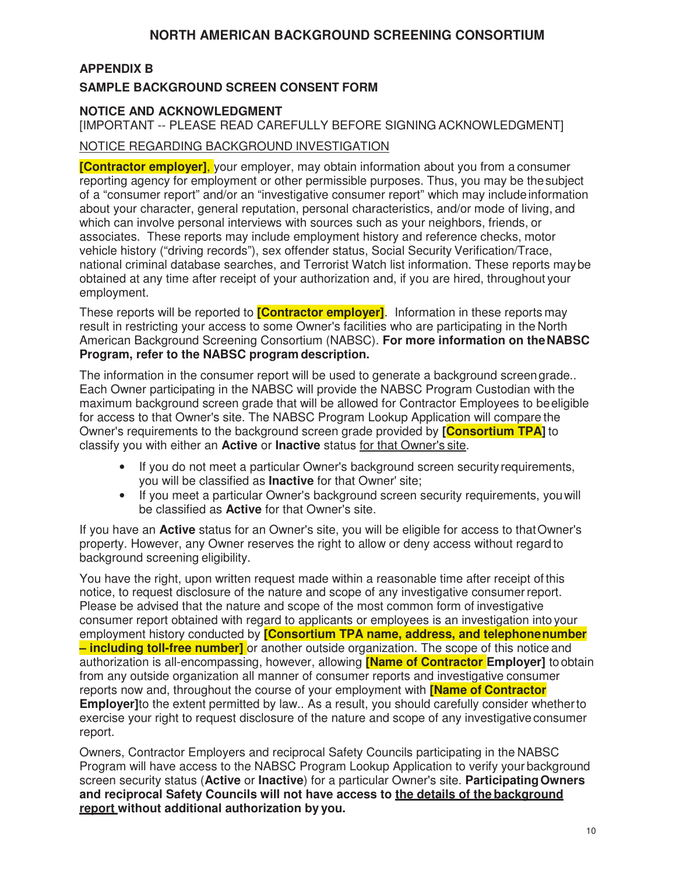## **APPENDIX B**

### **SAMPLE BACKGROUND SCREEN CONSENT FORM**

#### **NOTICE AND ACKNOWLEDGMENT**

[IMPORTANT -- PLEASE READ CAREFULLY BEFORE SIGNING ACKNOWLEDGMENT]

### NOTICE REGARDING BACKGROUND INVESTIGATION

**[Contractor employer]**, your employer, may obtain information about you from a consumer reporting agency for employment or other permissible purposes. Thus, you may be the subject of a "consumer report" and/or an "investigative consumer report" which may include information about your character, general reputation, personal characteristics, and/or mode of living, and which can involve personal interviews with sources such as your neighbors, friends, or associates. These reports may include employment history and reference checks, motor vehicle history ("driving records"), sex offender status, Social Security Verification/Trace, national criminal database searches, and Terrorist Watch list information. These reports may be obtained at any time after receipt of your authorization and, if you are hired, throughout your employment.

These reports will be reported to **[Contractor employer]**. Information in these reports may result in restricting your access to some Owner's facilities who are participating in the North American Background Screening Consortium (NABSC). **For more information on the NABSC Program, refer to the NABSC program description.**

The information in the consumer report will be used to generate a background screen grade.. Each Owner participating in the NABSC will provide the NABSC Program Custodian with the maximum background screen grade that will be allowed for Contractor Employees to be eligible for access to that Owner's site. The NABSC Program Lookup Application will compare the Owner's requirements to the background screen grade provided by **[Consortium TPA]** to classify you with either an **Active** or **Inactive** status for that Owner's site.

- If you do not meet a particular Owner's background screen security requirements, you will be classified as **Inactive** for that Owner' site;
- If you meet a particular Owner's background screen security requirements, you will be classified as **Active** for that Owner's site.

If you have an **Active** status for an Owner's site, you will be eligible for access to that Owner's property. However, any Owner reserves the right to allow or deny access without regard to background screening eligibility.

You have the right, upon written request made within a reasonable time after receipt of this notice, to request disclosure of the nature and scope of any investigative consumer report. Please be advised that the nature and scope of the most common form of investigative consumer report obtained with regard to applicants or employees is an investigation into your employment history conducted by **[Consortium TPA name, address, and telephone number – including toll-free number]** or another outside organization. The scope of this notice and authorization is all-encompassing, however, allowing **[Name of Contractor Employer]** to obtain from any outside organization all manner of consumer reports and investigative consumer reports now and, throughout the course of your employment with **[Name of Contractor Employer]**to the extent permitted by law.. As a result, you should carefully consider whether to exercise your right to request disclosure of the nature and scope of any investigative consumer report.

Owners, Contractor Employers and reciprocal Safety Councils participating in the NABSC Program will have access to the NABSC Program Lookup Application to verify your background screen security status (**Active** or **Inactive**) for a particular Owner's site. **Participating Owners and reciprocal Safety Councils will not have access to the details of the background report without additional authorization by you.**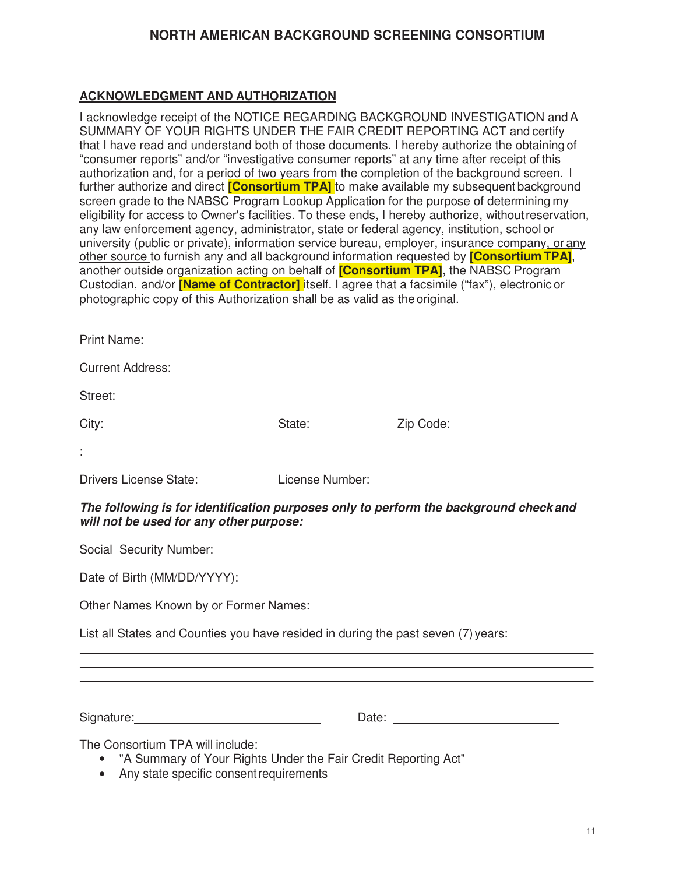## **ACKNOWLEDGMENT AND AUTHORIZATION**

I acknowledge receipt of the NOTICE REGARDING BACKGROUND INVESTIGATION and A SUMMARY OF YOUR RIGHTS UNDER THE FAIR CREDIT REPORTING ACT and certify that I have read and understand both of those documents. I hereby authorize the obtaining of "consumer reports" and/or "investigative consumer reports" at any time after receipt of this authorization and, for a period of two years from the completion of the background screen. I further authorize and direct **[Consortium TPA]** to make available my subsequent background screen grade to the NABSC Program Lookup Application for the purpose of determining my eligibility for access to Owner's facilities. To these ends, I hereby authorize, without reservation, any law enforcement agency, administrator, state or federal agency, institution, school or university (public or private), information service bureau, employer, insurance company, or any other source to furnish any and all background information requested by **[Consortium TPA]**, another outside organization acting on behalf of **[Consortium TPA],** the NABSC Program Custodian, and/or **[Name of Contractor]** itself. I agree that a facsimile ("fax"), electronic or photographic copy of this Authorization shall be as valid as the original.

Print Name:

Current Address:

Street:

City: City: City: City: City: City: City: Code: City: Code: City: Code: City: Code: City: Code: City: Code: City: Code: City: Code: City: Code: City: Code: City: Code: City: City: Code: City: City: City: City: City: City:

:

Drivers License State: License Number:

**The following is for identification purposes only to perform the background check and will not be used for any other purpose:**

Social Security Number:

Date of Birth (MM/DD/YYYY):

Other Names Known by or Former Names:

List all States and Counties you have resided in during the past seven (7) years:

Signature: Date:

The Consortium TPA will include:

- "A Summary of Your Rights Under the Fair Credit Reporting Act"
- Any state specific consent requirements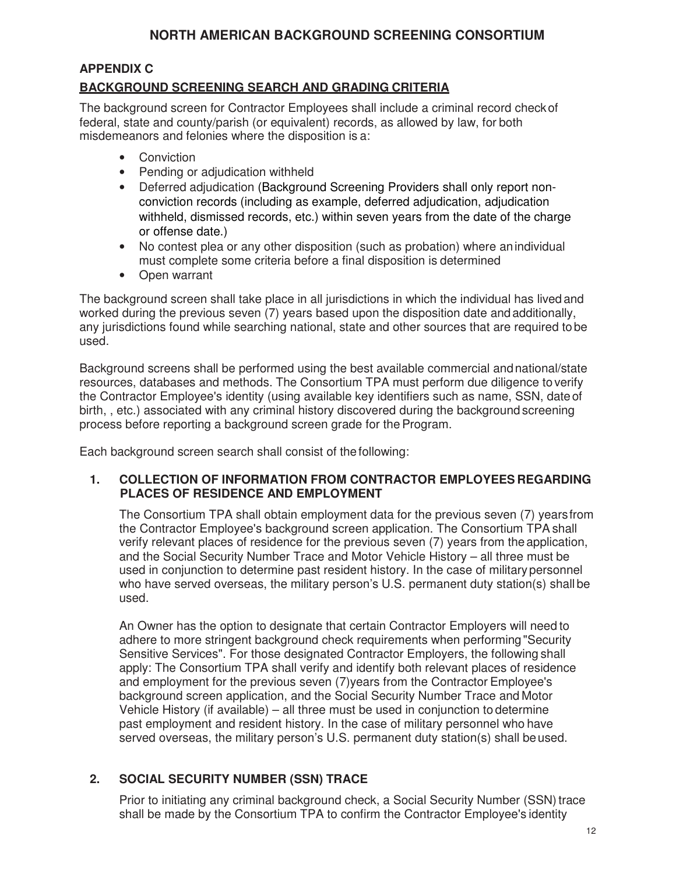## **APPENDIX C**

## **BACKGROUND SCREENING SEARCH AND GRADING CRITERIA**

The background screen for Contractor Employees shall include a criminal record check of federal, state and county/parish (or equivalent) records, as allowed by law, for both misdemeanors and felonies where the disposition is a:

- Conviction
- Pending or adjudication withheld
- Deferred adjudication (Background Screening Providers shall only report nonconviction records (including as example, deferred adjudication, adjudication withheld, dismissed records, etc.) within seven years from the date of the charge or offense date.)
- No contest plea or any other disposition (such as probation) where an individual must complete some criteria before a final disposition is determined
- Open warrant

The background screen shall take place in all jurisdictions in which the individual has lived and worked during the previous seven (7) years based upon the disposition date and additionally, any jurisdictions found while searching national, state and other sources that are required to be used.

Background screens shall be performed using the best available commercial and national/state resources, databases and methods. The Consortium TPA must perform due diligence to verify the Contractor Employee's identity (using available key identifiers such as name, SSN, date of birth, , etc.) associated with any criminal history discovered during the background screening process before reporting a background screen grade for the Program.

Each background screen search shall consist of the following:

### **1. COLLECTION OF INFORMATION FROM CONTRACTOR EMPLOYEES REGARDING PLACES OF RESIDENCE AND EMPLOYMENT**

The Consortium TPA shall obtain employment data for the previous seven (7) years from the Contractor Employee's background screen application. The Consortium TPA shall verify relevant places of residence for the previous seven (7) years from the application, and the Social Security Number Trace and Motor Vehicle History – all three must be used in conjunction to determine past resident history. In the case of military personnel who have served overseas, the military person's U.S. permanent duty station(s) shall be used.

An Owner has the option to designate that certain Contractor Employers will need to adhere to more stringent background check requirements when performing "Security Sensitive Services". For those designated Contractor Employers, the following shall apply: The Consortium TPA shall verify and identify both relevant places of residence and employment for the previous seven (7)years from the Contractor Employee's background screen application, and the Social Security Number Trace and Motor Vehicle History (if available) – all three must be used in conjunction to determine past employment and resident history. In the case of military personnel who have served overseas, the military person's U.S. permanent duty station(s) shall be used.

## **2. SOCIAL SECURITY NUMBER (SSN) TRACE**

Prior to initiating any criminal background check, a Social Security Number (SSN) trace shall be made by the Consortium TPA to confirm the Contractor Employee's identity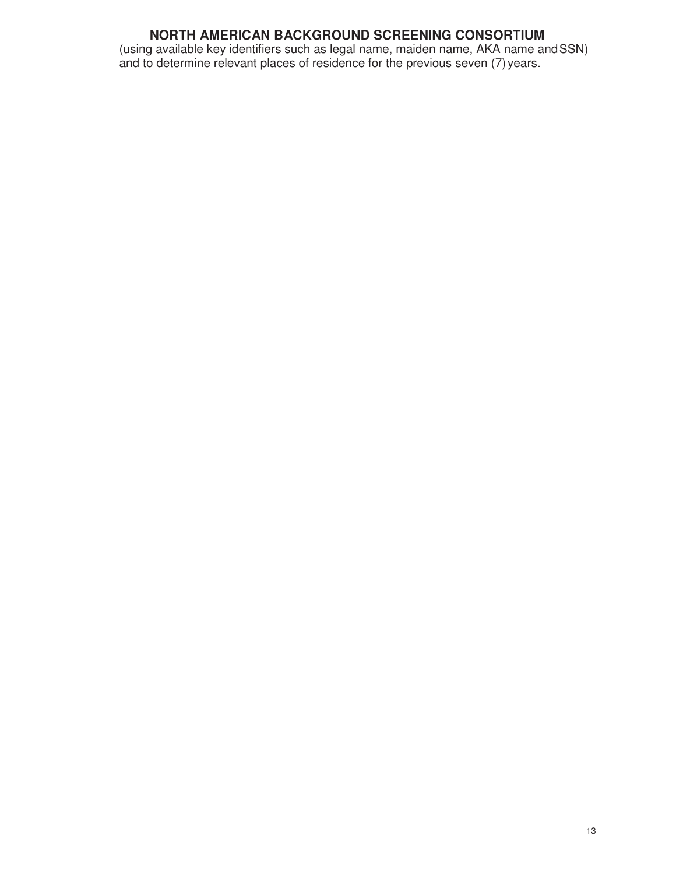(using available key identifiers such as legal name, maiden name, AKA name and SSN) and to determine relevant places of residence for the previous seven (7) years.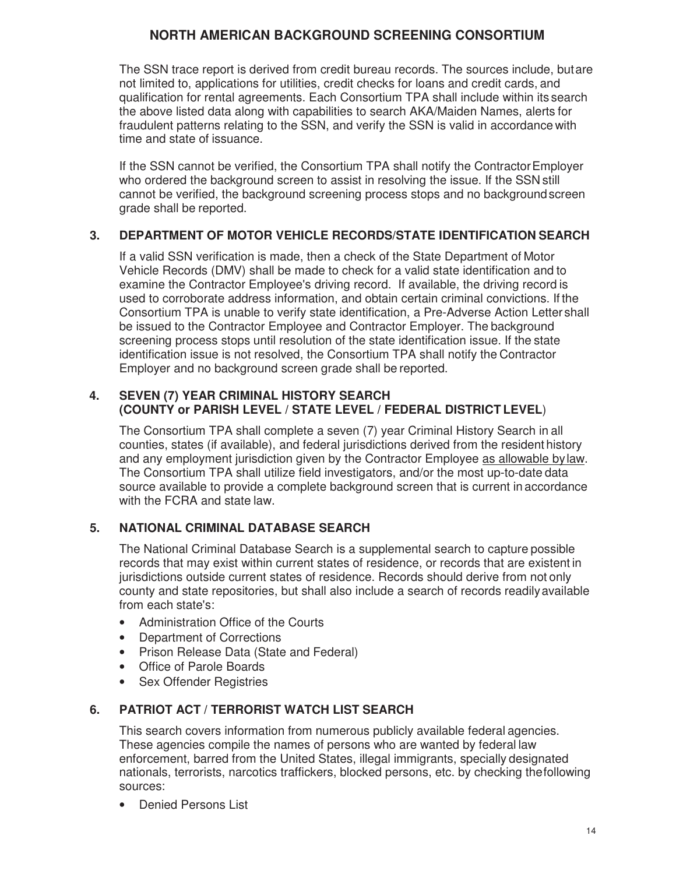The SSN trace report is derived from credit bureau records. The sources include, but are not limited to, applications for utilities, credit checks for loans and credit cards, and qualification for rental agreements. Each Consortium TPA shall include within its search the above listed data along with capabilities to search AKA/Maiden Names, alerts for fraudulent patterns relating to the SSN, and verify the SSN is valid in accordance with time and state of issuance.

If the SSN cannot be verified, the Consortium TPA shall notify the Contractor Employer who ordered the background screen to assist in resolving the issue. If the SSN still cannot be verified, the background screening process stops and no background screen grade shall be reported.

### **3. DEPARTMENT OF MOTOR VEHICLE RECORDS/STATE IDENTIFICATION SEARCH**

If a valid SSN verification is made, then a check of the State Department of Motor Vehicle Records (DMV) shall be made to check for a valid state identification and to examine the Contractor Employee's driving record. If available, the driving record is used to corroborate address information, and obtain certain criminal convictions. If the Consortium TPA is unable to verify state identification, a Pre-Adverse Action Letter shall be issued to the Contractor Employee and Contractor Employer. The background screening process stops until resolution of the state identification issue. If the state identification issue is not resolved, the Consortium TPA shall notify the Contractor Employer and no background screen grade shall be reported.

### **4. SEVEN (7) YEAR CRIMINAL HISTORY SEARCH (COUNTY or PARISH LEVEL / STATE LEVEL / FEDERAL DISTRICT LEVEL**)

The Consortium TPA shall complete a seven (7) year Criminal History Search in all counties, states (if available), and federal jurisdictions derived from the resident history and any employment jurisdiction given by the Contractor Employee as allowable by law. The Consortium TPA shall utilize field investigators, and/or the most up-to-date data source available to provide a complete background screen that is current in accordance with the FCRA and state law.

## **5. NATIONAL CRIMINAL DATABASE SEARCH**

The National Criminal Database Search is a supplemental search to capture possible records that may exist within current states of residence, or records that are existent in jurisdictions outside current states of residence. Records should derive from not only county and state repositories, but shall also include a search of records readily available from each state's:

- Administration Office of the Courts
- Department of Corrections
- Prison Release Data (State and Federal)
- Office of Parole Boards
- Sex Offender Registries

### **6. PATRIOT ACT / TERRORIST WATCH LIST SEARCH**

This search covers information from numerous publicly available federal agencies. These agencies compile the names of persons who are wanted by federal law enforcement, barred from the United States, illegal immigrants, specially designated nationals, terrorists, narcotics traffickers, blocked persons, etc. by checking the following sources:

• Denied Persons List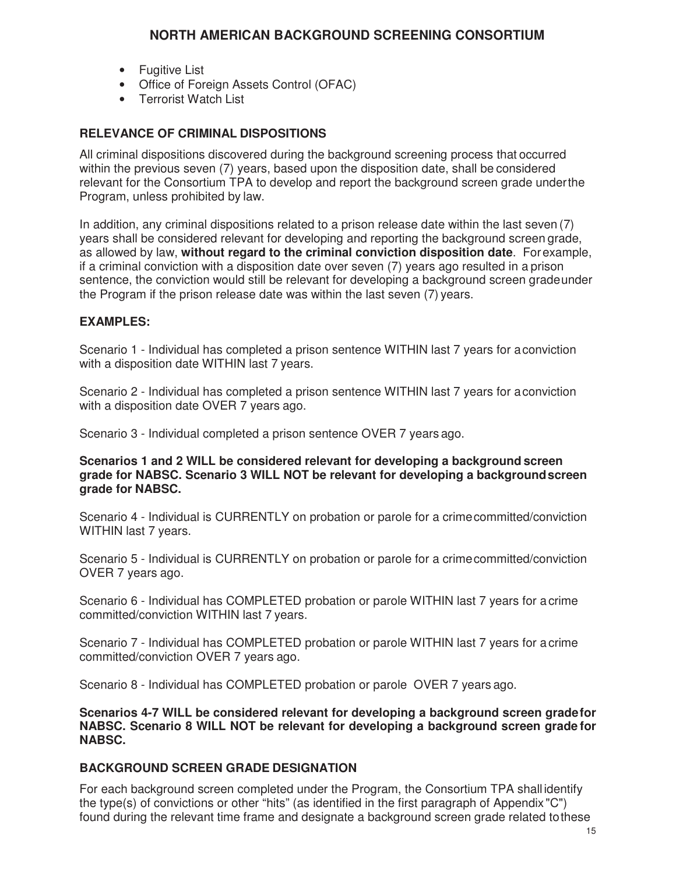- Fugitive List
- Office of Foreign Assets Control (OFAC)
- Terrorist Watch List

### **RELEVANCE OF CRIMINAL DISPOSITIONS**

All criminal dispositions discovered during the background screening process that occurred within the previous seven (7) years, based upon the disposition date, shall be considered relevant for the Consortium TPA to develop and report the background screen grade under the Program, unless prohibited by law.

In addition, any criminal dispositions related to a prison release date within the last seven (7) years shall be considered relevant for developing and reporting the background screen grade, as allowed by law, **without regard to the criminal conviction disposition date**. For example, if a criminal conviction with a disposition date over seven (7) years ago resulted in a prison sentence, the conviction would still be relevant for developing a background screen grade under the Program if the prison release date was within the last seven (7) years.

### **EXAMPLES:**

Scenario 1 - Individual has completed a prison sentence WITHIN last 7 years for a conviction with a disposition date WITHIN last 7 years.

Scenario 2 - Individual has completed a prison sentence WITHIN last 7 years for a conviction with a disposition date OVER 7 years ago.

Scenario 3 - Individual completed a prison sentence OVER 7 years ago.

**Scenarios 1 and 2 WILL be considered relevant for developing a background screen grade for NABSC. Scenario 3 WILL NOT be relevant for developing a background screen grade for NABSC.**

Scenario 4 - Individual is CURRENTLY on probation or parole for a crime committed/conviction WITHIN last 7 years.

Scenario 5 - Individual is CURRENTLY on probation or parole for a crime committed/conviction OVER 7 years ago.

Scenario 6 - Individual has COMPLETED probation or parole WITHIN last 7 years for a crime committed/conviction WITHIN last 7 years.

Scenario 7 - Individual has COMPLETED probation or parole WITHIN last 7 years for a crime committed/conviction OVER 7 years ago.

Scenario 8 - Individual has COMPLETED probation or parole OVER 7 years ago.

**Scenarios 4-7 WILL be considered relevant for developing a background screen grade for NABSC. Scenario 8 WILL NOT be relevant for developing a background screen grade for NABSC.**

#### **BACKGROUND SCREEN GRADE DESIGNATION**

For each background screen completed under the Program, the Consortium TPA shall identify the type(s) of convictions or other "hits" (as identified in the first paragraph of Appendix "C") found during the relevant time frame and designate a background screen grade related to these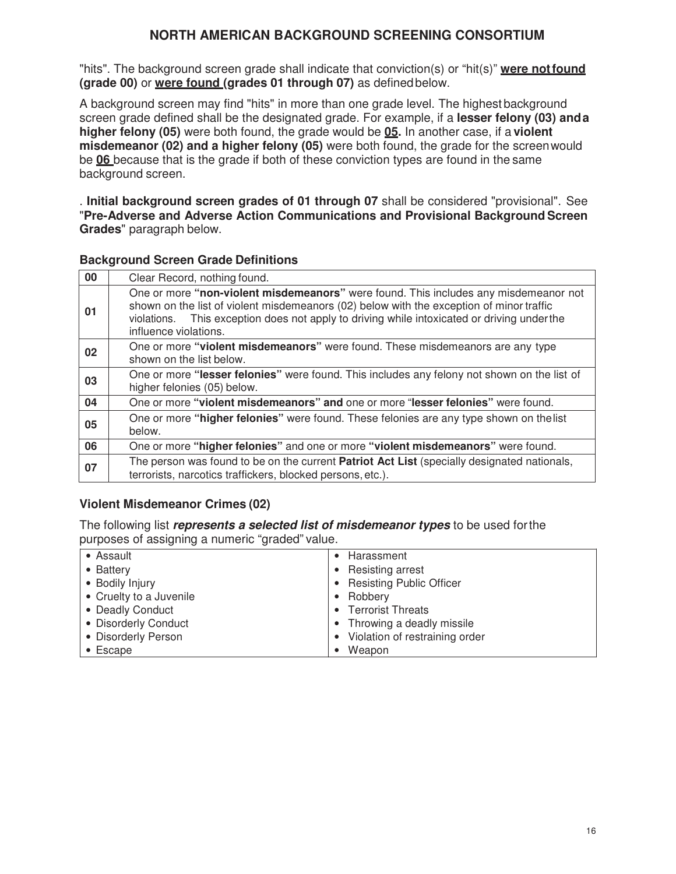"hits". The background screen grade shall indicate that conviction(s) or "hit(s)" **were not found (grade 00)** or **were found (grades 01 through 07)** as defined below.

A background screen may find "hits" in more than one grade level. The highest background screen grade defined shall be the designated grade. For example, if a **lesser felony (03) and a higher felony (05)** were both found, the grade would be **05.** In another case, if a **violent misdemeanor (02) and a higher felony (05)** were both found, the grade for the screen would be **06** because that is the grade if both of these conviction types are found in the same background screen.

. **Initial background screen grades of 01 through 07** shall be considered "provisional". See "**Pre-Adverse and Adverse Action Communications and Provisional Background Screen Grades**" paragraph below.

#### **Background Screen Grade Definitions**

| 00 | Clear Record, nothing found.                                                                                                                                                                                                                                                                                |  |
|----|-------------------------------------------------------------------------------------------------------------------------------------------------------------------------------------------------------------------------------------------------------------------------------------------------------------|--|
| 01 | One or more "non-violent misdemeanors" were found. This includes any misdemeanor not<br>shown on the list of violent misdemeanors (02) below with the exception of minor traffic<br>This exception does not apply to driving while intoxicated or driving under the<br>violations.<br>influence violations. |  |
| 02 | One or more "violent misdemeanors" were found. These misdemeanors are any type<br>shown on the list below.                                                                                                                                                                                                  |  |
| 03 | One or more "lesser felonies" were found. This includes any felony not shown on the list of<br>higher felonies (05) below.                                                                                                                                                                                  |  |
| 04 | One or more "violent misdemeanors" and one or more "lesser felonies" were found.                                                                                                                                                                                                                            |  |
| 05 | One or more "higher felonies" were found. These felonies are any type shown on the list<br>below.                                                                                                                                                                                                           |  |
| 06 | One or more "higher felonies" and one or more "violent misdemeanors" were found.                                                                                                                                                                                                                            |  |
| 07 | The person was found to be on the current <b>Patriot Act List</b> (specially designated nationals,<br>terrorists, narcotics traffickers, blocked persons, etc.).                                                                                                                                            |  |

### **Violent Misdemeanor Crimes (02)**

The following list **represents a selected list of misdemeanor types** to be used for the purposes of assigning a numeric "graded" value.

| • Assault               | Harassment                      |
|-------------------------|---------------------------------|
| • Battery               | Resisting arrest                |
| • Bodily Injury         | <b>Resisting Public Officer</b> |
| • Cruelty to a Juvenile | Robbery                         |
| • Deadly Conduct        | • Terrorist Threats             |
| • Disorderly Conduct    | • Throwing a deadly missile     |
| • Disorderly Person     | Violation of restraining order  |
| $\bullet$ Escape        | Weapon                          |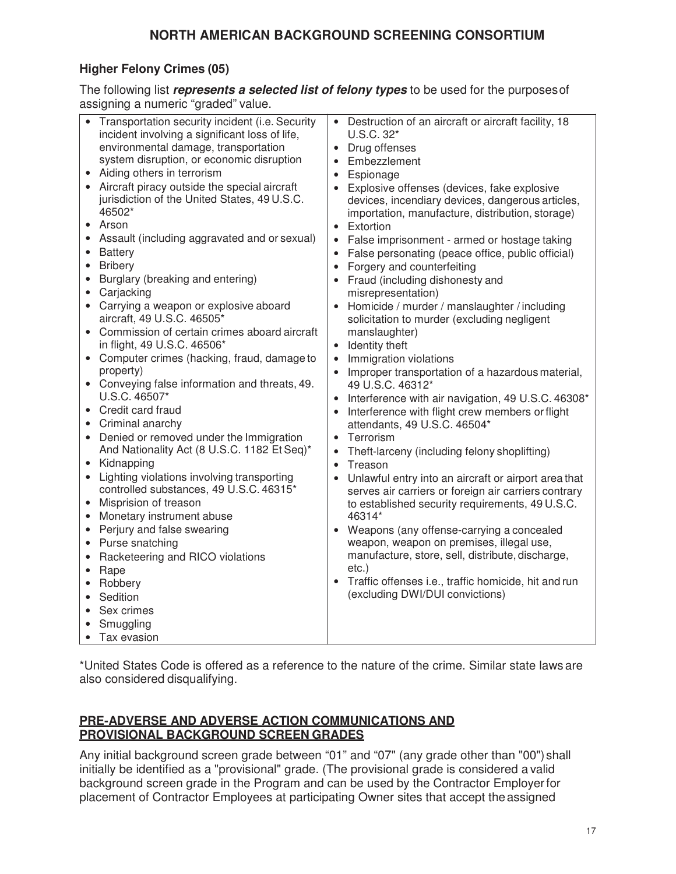## **Higher Felony Crimes (05)**

The following list **represents a selected list of felony types** to be used for the purposes of assigning a numeric "graded" value.

\*United States Code is offered as a reference to the nature of the crime. Similar state laws are also considered disqualifying.

### **PRE-ADVERSE AND ADVERSE ACTION COMMUNICATIONS AND PROVISIONAL BACKGROUND SCREEN GRADES**

Any initial background screen grade between "01" and "07" (any grade other than "00") shall initially be identified as a "provisional" grade. (The provisional grade is considered a valid background screen grade in the Program and can be used by the Contractor Employer for placement of Contractor Employees at participating Owner sites that accept the assigned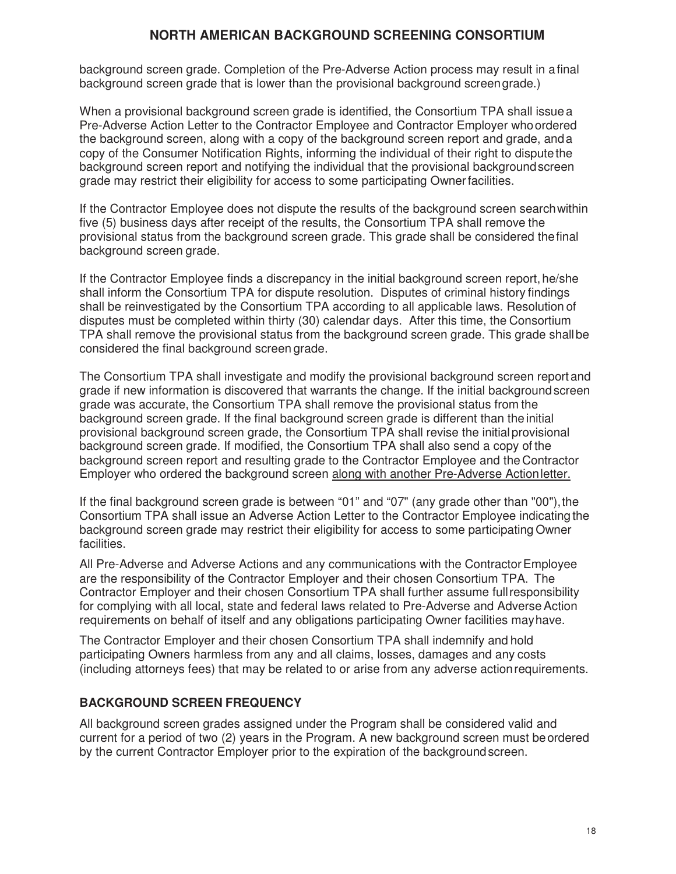background screen grade. Completion of the Pre-Adverse Action process may result in a final background screen grade that is lower than the provisional background screen grade.)

When a provisional background screen grade is identified, the Consortium TPA shall issue a Pre-Adverse Action Letter to the Contractor Employee and Contractor Employer who ordered the background screen, along with a copy of the background screen report and grade, and a copy of the Consumer Notification Rights, informing the individual of their right to dispute the background screen report and notifying the individual that the provisional background screen grade may restrict their eligibility for access to some participating Owner facilities.

If the Contractor Employee does not dispute the results of the background screen search within five (5) business days after receipt of the results, the Consortium TPA shall remove the provisional status from the background screen grade. This grade shall be considered the final background screen grade.

If the Contractor Employee finds a discrepancy in the initial background screen report, he/she shall inform the Consortium TPA for dispute resolution. Disputes of criminal history findings shall be reinvestigated by the Consortium TPA according to all applicable laws. Resolution of disputes must be completed within thirty (30) calendar days. After this time, the Consortium TPA shall remove the provisional status from the background screen grade. This grade shall be considered the final background screen grade.

The Consortium TPA shall investigate and modify the provisional background screen report and grade if new information is discovered that warrants the change. If the initial background screen grade was accurate, the Consortium TPA shall remove the provisional status from the background screen grade. If the final background screen grade is different than the initial provisional background screen grade, the Consortium TPA shall revise the initial provisional background screen grade. If modified, the Consortium TPA shall also send a copy of the background screen report and resulting grade to the Contractor Employee and the Contractor Employer who ordered the background screen along with another Pre-Adverse Action letter.

If the final background screen grade is between "01" and "07" (any grade other than "00"), the Consortium TPA shall issue an Adverse Action Letter to the Contractor Employee indicating the background screen grade may restrict their eligibility for access to some participating Owner facilities.

All Pre-Adverse and Adverse Actions and any communications with the Contractor Employee are the responsibility of the Contractor Employer and their chosen Consortium TPA. The Contractor Employer and their chosen Consortium TPA shall further assume full responsibility for complying with all local, state and federal laws related to Pre-Adverse and Adverse Action requirements on behalf of itself and any obligations participating Owner facilities may have.

The Contractor Employer and their chosen Consortium TPA shall indemnify and hold participating Owners harmless from any and all claims, losses, damages and any costs (including attorneys fees) that may be related to or arise from any adverse action requirements.

### **BACKGROUND SCREEN FREQUENCY**

All background screen grades assigned under the Program shall be considered valid and current for a period of two (2) years in the Program. A new background screen must be ordered by the current Contractor Employer prior to the expiration of the background screen.